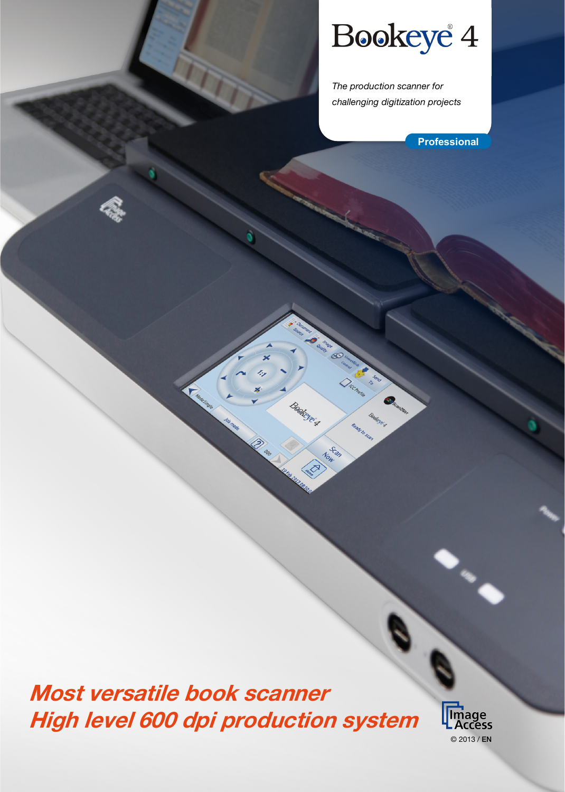# Bookeye<sup>4</sup>

*The production scanner for challenging digitization projects*

Scan

**Professional**

Most versatile book scanner High level 600 dpi production system

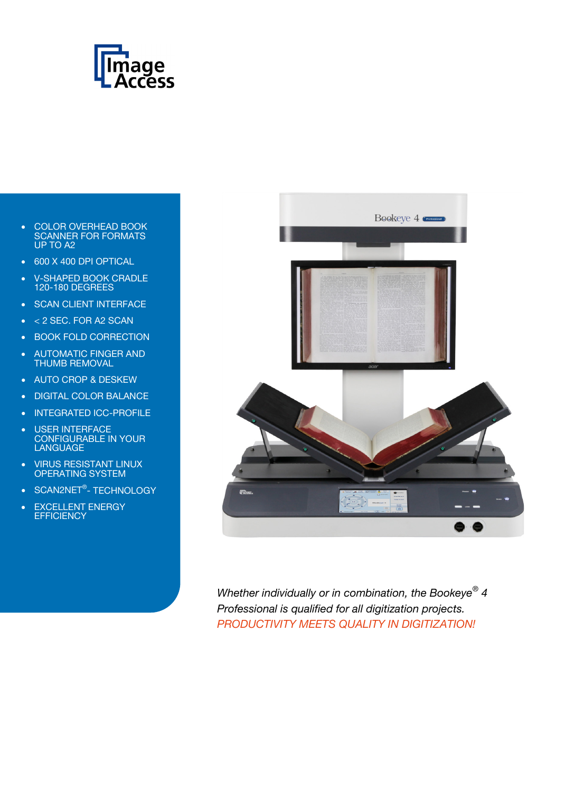

- COLOR OVERHEAD BOOK SCANNER FOR FORMATS UP TO A2
- 600 X 400 DPI OPTICAL
- V-SHAPED BOOK CRADLE 120-180 DEGREES
- SCAN CLIENT INTERFACE
- < 2 SEC. FOR A2 SCAN
- BOOK FOLD CORRECTION
- AUTOMATIC FINGER AND THUMB REMOVAL
- AUTO CROP & DESKEW
- DIGITAL COLOR BALANCE
- INTEGRATED ICC-PROFILE
- USER INTERFACE CONFIGURABLE IN YOUR LANGUAGE
- VIRUS RESISTANT LINUX OPERATING SYSTEM
- SCAN2NET<sup>®</sup>- TECHNOLOGY
- EXCELLENT ENERGY **EFFICIENCY**



*Whether individually or in combination, the Bookeye® 4 Professional is qualified for all digitization projects. PRODUCTIVITY MEETS QUALITY IN DIGITIZATION!*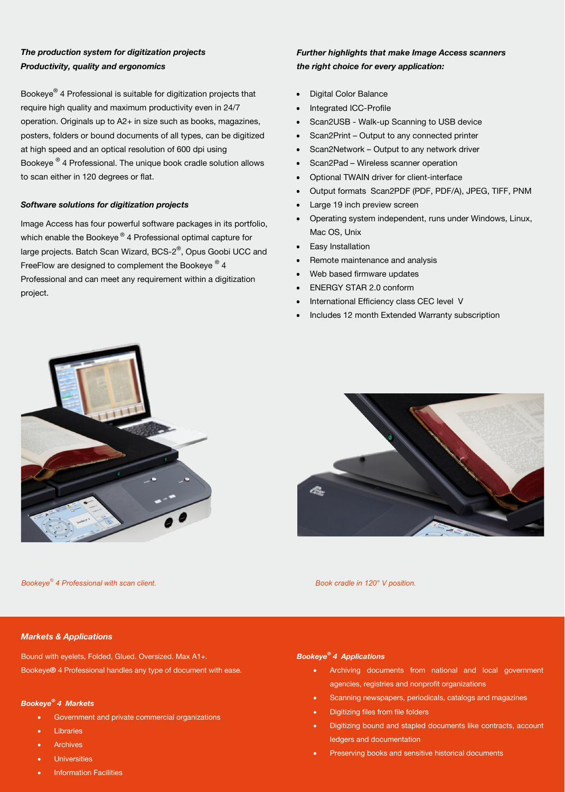# *The production system for digitization projects Productivity, quality and ergonomics*

Bookeye® 4 Professional is suitable for digitization projects that require high quality and maximum productivity even in 24/7 operation. Originals up to A2+ in size such as books, magazines, posters, folders or bound documents of all types, can be digitized at high speed and an optical resolution of 600 dpi using Bookeye ® 4 Professional. The unique book cradle solution allows to scan either in 120 degrees or flat.

#### *Software solutions for digitization projects*

Image Access has four powerful software packages in its portfolio, which enable the Bookeye<sup>®</sup> 4 Professional optimal capture for large projects. Batch Scan Wizard, BCS-2®, Opus Goobi UCC and FreeFlow are designed to complement the Bookeye <sup>®</sup> 4 Professional and can meet any requirement within a digitization project.

## *Further highlights that make Image Access scanners the right choice for every application:*

- Digital Color Balance
- Integrated ICC-Profile
- Scan2USB Walk-up Scanning to USB device
- Scan2Print Output to any connected printer
- Scan2Network Output to any network driver
- Scan2Pad Wireless scanner operation
- Optional TWAIN driver for client-interface
- Output formats Scan2PDF (PDF, PDF/A), JPEG, TIFF, PNM
- Large 19 inch preview screen
- Operating system independent, runs under Windows, Linux, Mac OS, Unix
- Easy Installation
- Remote maintenance and analysis
- Web based firmware updates
- ENERGY STAR 2.0 conform
- International Efficiency class CEC level V
- Includes 12 month Extended Warranty subscription



*Bookeye® 4 Professional with scan client. Book cradle in 120° V position.*

#### *Markets & Applications*

Bound with eyelets, Folded, Glued. Oversized. Max A1+. Bookeye*®* 4 Professional handles any type of document with ease.

#### *Bookeye® 4 Markets*

- Government and private commercial organizations
- **Libraries**
- **Archives**
- Universities
- **Information Facilities**

#### *Bookeye® 4 Applications*

- Archiving documents from national and local government agencies, registries and nonprofit organizations
- Scanning newspapers, periodicals, catalogs and magazines
- Digitizing files from file folders
- Digitizing bound and stapled documents like contracts, account ledgers and documentation
- Preserving books and sensitive historical documents